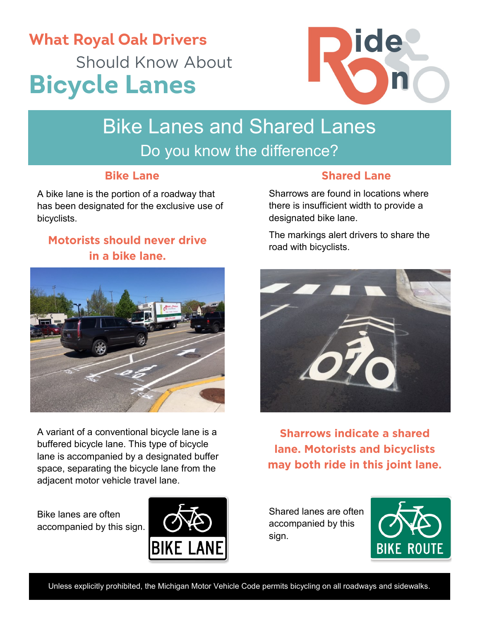## **What Royal Oak Drivers Should Know About Bicycle Lanes**



# Bike Lanes and Shared Lanes

Do you know the difference?

#### **Bike Lane**

A bike lane is the portion of a roadway that has been designated for the exclusive use of bicyclists.

#### **Motorists should never drive** in a bike lane.



A variant of a conventional bicycle lane is a buffered bicycle lane. This type of bicycle lane is accompanied by a designated buffer space, separating the bicycle lane from the adjacent motor vehicle travel lane.

Bike lanes are often accompanied by this sign.



#### **Shared Lane**

Sharrows are found in locations where there is insufficient width to provide a designated bike lane.

The markings alert drivers to share the road with bicyclists.



**Sharrows indicate a shared lane. Motorists and bicyclists** may both ride in this joint lane.

Shared lanes are often accompanied by this sign.